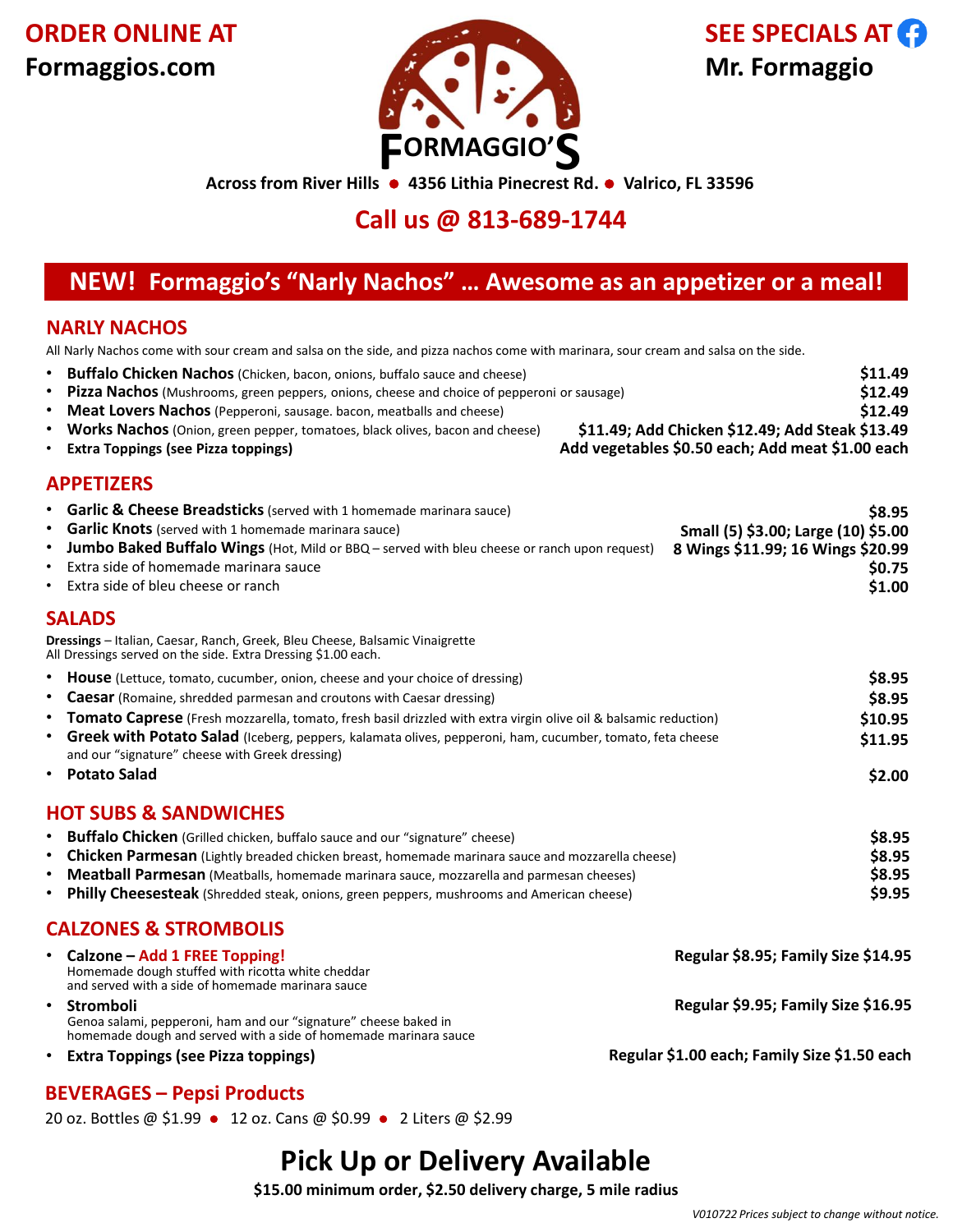# **ORDER ONLINE AT Formaggios.com**



# **SEE SPECIALS AT Mr. Formaggio**

Across from River Hills ● 4356 Lithia Pinecrest Rd. ● Valrico, FL 33596

# **Call us @ 813-689-1744**

# **NEW! Formaggio's "Narly Nachos" … Awesome as an appetizer or a meal!**

#### **NARLY NACHOS**

All Narly Nachos come with sour cream and salsa on the side, and pizza nachos come with marinara, sour cream and salsa on the side.

| <b>Buffalo Chicken Nachos</b> (Chicken, bacon, onions, buffalo sauce and cheese)<br>Pizza Nachos (Mushrooms, green peppers, onions, cheese and choice of pepperoni or sausage)<br>$\bullet$                                                                                                                                                                         | \$11.49<br>\$12.49                                                                                             |
|---------------------------------------------------------------------------------------------------------------------------------------------------------------------------------------------------------------------------------------------------------------------------------------------------------------------------------------------------------------------|----------------------------------------------------------------------------------------------------------------|
| Meat Lovers Nachos (Pepperoni, sausage. bacon, meatballs and cheese)<br>$\bullet$<br>Works Nachos (Onion, green pepper, tomatoes, black olives, bacon and cheese)<br>$\bullet$<br><b>Extra Toppings (see Pizza toppings)</b>                                                                                                                                        | \$12.49<br>\$11.49; Add Chicken \$12.49; Add Steak \$13.49<br>Add vegetables \$0.50 each; Add meat \$1.00 each |
| <b>APPETIZERS</b>                                                                                                                                                                                                                                                                                                                                                   |                                                                                                                |
| <b>Garlic &amp; Cheese Breadsticks</b> (served with 1 homemade marinara sauce)<br><b>Garlic Knots</b> (served with 1 homemade marinara sauce)<br>Jumbo Baked Buffalo Wings (Hot, Mild or BBQ - served with bleu cheese or ranch upon request)<br>$\bullet$<br>Extra side of homemade marinara sauce<br>$\bullet$<br>Extra side of bleu cheese or ranch<br>$\bullet$ | \$8.95<br>Small (5) \$3.00; Large (10) \$5.00<br>8 Wings \$11.99; 16 Wings \$20.99<br>\$0.75<br>\$1.00         |
| <b>SALADS</b>                                                                                                                                                                                                                                                                                                                                                       |                                                                                                                |
| Dressings - Italian, Caesar, Ranch, Greek, Bleu Cheese, Balsamic Vinaigrette<br>All Dressings served on the side. Extra Dressing \$1.00 each.                                                                                                                                                                                                                       |                                                                                                                |
| • House (Lettuce, tomato, cucumber, onion, cheese and your choice of dressing)                                                                                                                                                                                                                                                                                      | \$8.95                                                                                                         |
| <b>Caesar</b> (Romaine, shredded parmesan and croutons with Caesar dressing)<br>$\bullet$                                                                                                                                                                                                                                                                           | \$8.95                                                                                                         |
| <b>Tomato Caprese</b> (Fresh mozzarella, tomato, fresh basil drizzled with extra virgin olive oil & balsamic reduction)<br>$\bullet$<br>Greek with Potato Salad (Iceberg, peppers, kalamata olives, pepperoni, ham, cucumber, tomato, feta cheese<br>and our "signature" cheese with Greek dressing)                                                                | \$10.95<br>\$11.95                                                                                             |
| <b>Potato Salad</b><br>$\bullet$                                                                                                                                                                                                                                                                                                                                    | \$2.00                                                                                                         |
| <b>HOT SUBS &amp; SANDWICHES</b>                                                                                                                                                                                                                                                                                                                                    |                                                                                                                |
| <b>Buffalo Chicken</b> (Grilled chicken, buffalo sauce and our "signature" cheese)<br>$\bullet$                                                                                                                                                                                                                                                                     | \$8.95                                                                                                         |
| Chicken Parmesan (Lightly breaded chicken breast, homemade marinara sauce and mozzarella cheese)<br>$\bullet$                                                                                                                                                                                                                                                       | \$8.95                                                                                                         |
| Meatball Parmesan (Meatballs, homemade marinara sauce, mozzarella and parmesan cheeses)<br>$\bullet$                                                                                                                                                                                                                                                                | \$8.95                                                                                                         |
| Philly Cheesesteak (Shredded steak, onions, green peppers, mushrooms and American cheese)                                                                                                                                                                                                                                                                           | \$9.95                                                                                                         |
| <b>CALZONES &amp; STROMBOLIS</b>                                                                                                                                                                                                                                                                                                                                    |                                                                                                                |
| • Calzone - Add 1 FREE Topping!<br>Homemade dough stuffed with ricotta white cheddar<br>and served with a side of homemade marinara sauce                                                                                                                                                                                                                           | Regular \$8.95; Family Size \$14.95                                                                            |
| Stromboli                                                                                                                                                                                                                                                                                                                                                           | Regular \$9.95; Family Size \$16.95                                                                            |

Genoa salami, pepperoni, ham and our "signature" cheese baked in homemade dough and served with a side of homemade marinara sauce

• **Extra Toppings (see Pizza toppings)**

### **Regular \$1.00 each; Family Size \$1.50 each**

## **BEVERAGES – Pepsi Products**

20 oz. Bottles @ \$1.99 · 12 oz. Cans @ \$0.99 · 2 Liters @ \$2.99

# **Pick Up or Delivery Available**

**\$15.00 minimum order, \$2.50 delivery charge, 5 mile radius**